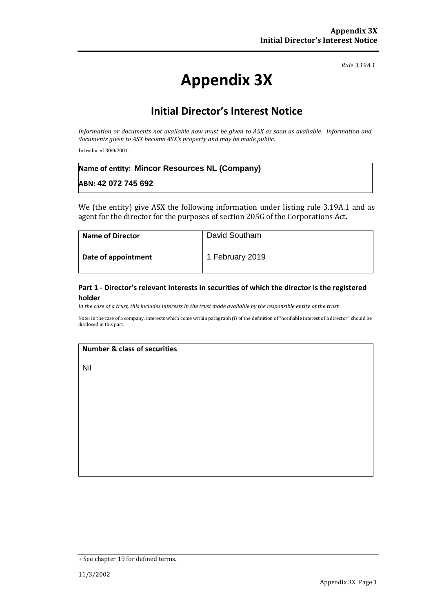*Rule 3.19A.1*

# **Appendix 3X**

## **Initial Director's Interest Notice**

*Information or documents not available now must be given to ASX as soon as available. Information and documents given to ASX become ASX's property and may be made public.*

Introduced 30/9/2001.

| Name of entity: Mincor Resources NL (Company) |  |
|-----------------------------------------------|--|
| ABN: 42 072 745 692                           |  |

We (the entity) give ASX the following information under listing rule 3.19A.1 and as agent for the director for the purposes of section 205G of the Corporations Act.

| <b>Name of Director</b> | David Southam   |
|-------------------------|-----------------|
| Date of appointment     | 1 February 2019 |

#### **Part 1 - Director's relevant interests in securities of which the director is the registered holder**

*In the case of a trust, this includes interests in the trust made available by the responsible entity of the trust*

Note: In the case of a company, interests which come within paragraph (i) of the definition of "notifiable interest of a director" should be disclosed in this part.

#### **Number & class of securities**

Nil

<sup>+</sup> See chapter 19 for defined terms.